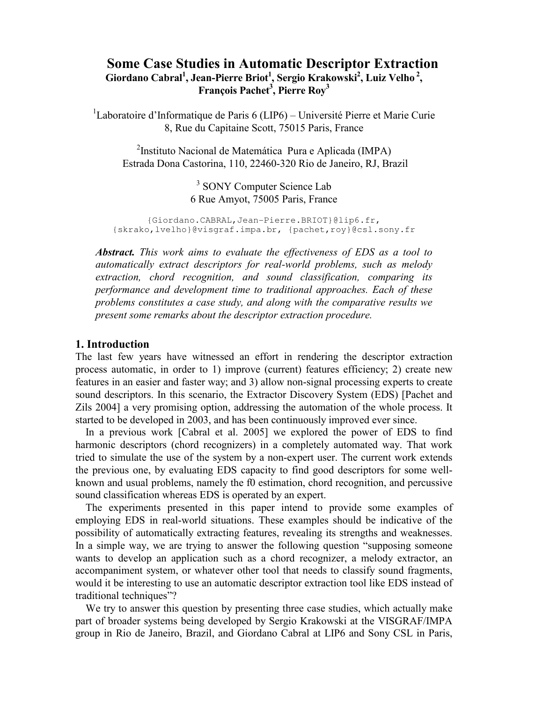# Some Case Studies in Automatic Descriptor Extraction Giordano Cabral<sup>1</sup>, Jean-Pierre Briot<sup>1</sup>, Sergio Krakowski<sup>2</sup>, Luiz Velho<sup>2</sup>, François Pachet $^3$ , Pierre Roy $^3$

<sup>1</sup>Laboratoire d'Informatique de Paris 6 (LIP6) – Université Pierre et Marie Curie 8, Rue du Capitaine Scott, 75015 Paris, France

<sup>2</sup>Instituto Nacional de Matemática Pura e Aplicada (IMPA) Estrada Dona Castorina, 110, 22460-320 Rio de Janeiro, RJ, Brazil

> <sup>3</sup> SONY Computer Science Lab 6 Rue Amyot, 75005 Paris, France

{Giordano.CABRAL,Jean-Pierre.BRIOT}@lip6.fr, {skrako,lvelho}@visgraf.impa.br, {pachet,roy}@csl.sony.fr

Abstract. This work aims to evaluate the effectiveness of EDS as a tool to automatically extract descriptors for real-world problems, such as melody extraction, chord recognition, and sound classification, comparing its performance and development time to traditional approaches. Each of these problems constitutes a case study, and along with the comparative results we present some remarks about the descriptor extraction procedure.

### 1. Introduction

The last few years have witnessed an effort in rendering the descriptor extraction process automatic, in order to 1) improve (current) features efficiency; 2) create new features in an easier and faster way; and 3) allow non-signal processing experts to create sound descriptors. In this scenario, the Extractor Discovery System (EDS) [Pachet and Zils 2004] a very promising option, addressing the automation of the whole process. It started to be developed in 2003, and has been continuously improved ever since.

In a previous work [Cabral et al. 2005] we explored the power of EDS to find harmonic descriptors (chord recognizers) in a completely automated way. That work tried to simulate the use of the system by a non-expert user. The current work extends the previous one, by evaluating EDS capacity to find good descriptors for some wellknown and usual problems, namely the f0 estimation, chord recognition, and percussive sound classification whereas EDS is operated by an expert.

The experiments presented in this paper intend to provide some examples of employing EDS in real-world situations. These examples should be indicative of the possibility of automatically extracting features, revealing its strengths and weaknesses. In a simple way, we are trying to answer the following question "supposing someone wants to develop an application such as a chord recognizer, a melody extractor, an accompaniment system, or whatever other tool that needs to classify sound fragments, would it be interesting to use an automatic descriptor extraction tool like EDS instead of traditional techniques"?

We try to answer this question by presenting three case studies, which actually make part of broader systems being developed by Sergio Krakowski at the VISGRAF/IMPA group in Rio de Janeiro, Brazil, and Giordano Cabral at LIP6 and Sony CSL in Paris,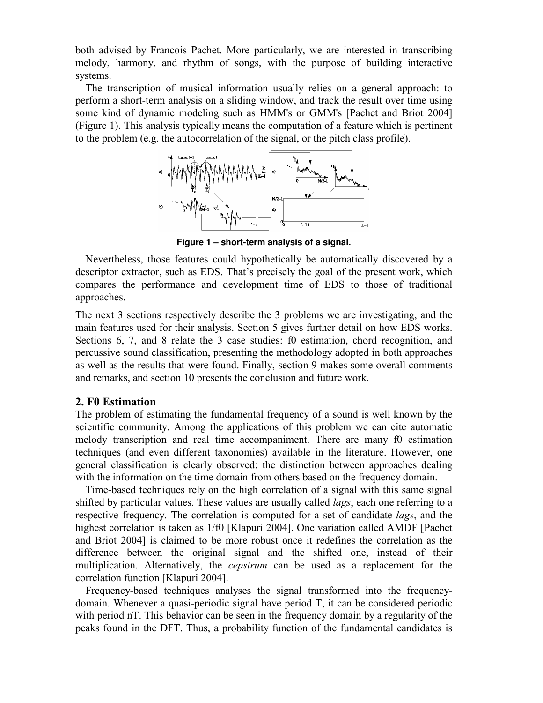both advised by Francois Pachet. More particularly, we are interested in transcribing melody, harmony, and rhythm of songs, with the purpose of building interactive systems.

The transcription of musical information usually relies on a general approach: to perform a short-term analysis on a sliding window, and track the result over time using some kind of dynamic modeling such as HMM's or GMM's [Pachet and Briot 2004] (Figure 1). This analysis typically means the computation of a feature which is pertinent to the problem (e.g. the autocorrelation of the signal, or the pitch class profile).



**Figure 1 – short-term analysis of a signal.** 

Nevertheless, those features could hypothetically be automatically discovered by a descriptor extractor, such as EDS. That's precisely the goal of the present work, which compares the performance and development time of EDS to those of traditional approaches.

The next 3 sections respectively describe the 3 problems we are investigating, and the main features used for their analysis. Section 5 gives further detail on how EDS works. Sections 6, 7, and 8 relate the 3 case studies: f0 estimation, chord recognition, and percussive sound classification, presenting the methodology adopted in both approaches as well as the results that were found. Finally, section 9 makes some overall comments and remarks, and section 10 presents the conclusion and future work.

## 2. F0 Estimation

The problem of estimating the fundamental frequency of a sound is well known by the scientific community. Among the applications of this problem we can cite automatic melody transcription and real time accompaniment. There are many f0 estimation techniques (and even different taxonomies) available in the literature. However, one general classification is clearly observed: the distinction between approaches dealing with the information on the time domain from others based on the frequency domain.

Time-based techniques rely on the high correlation of a signal with this same signal shifted by particular values. These values are usually called *lags*, each one referring to a respective frequency. The correlation is computed for a set of candidate lags, and the highest correlation is taken as 1/f0 [Klapuri 2004]. One variation called AMDF [Pachet and Briot 2004] is claimed to be more robust once it redefines the correlation as the difference between the original signal and the shifted one, instead of their multiplication. Alternatively, the *cepstrum* can be used as a replacement for the correlation function [Klapuri 2004].

Frequency-based techniques analyses the signal transformed into the frequencydomain. Whenever a quasi-periodic signal have period T, it can be considered periodic with period nT. This behavior can be seen in the frequency domain by a regularity of the peaks found in the DFT. Thus, a probability function of the fundamental candidates is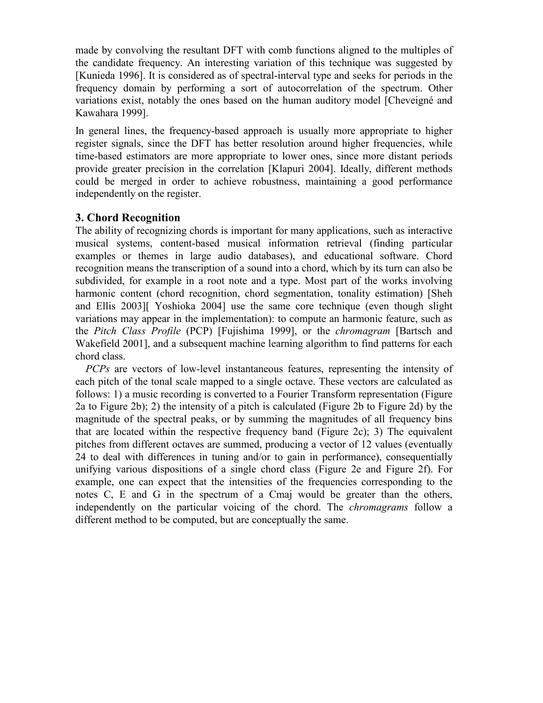made by convolving the resultant DFT with comb functions aligned to the multiples of the candidate frequency. An interesting variation of this technique was suggested by [Kunieda 1996]. It is considered as of spectral-interval type and seeks for periods in the frequency domain by performing a sort of autocorrelation of the spectrum. Other variations exist, notably the ones based on the human auditory model [Cheveigné and Kawahara 1999].

In general lines, the frequency-based approach is usually more appropriate to higher register signals, since the DFT has better resolution around higher frequencies, while time-based estimators are more appropriate to lower ones, since more distant periods provide greater precision in the correlation [Klapuri 2004]. Ideally, different methods could be merged in order to achieve robustness, maintaining a good performance independently on the register.

# 3. Chord Recognition

The ability of recognizing chords is important for many applications, such as interactive musical systems, content-based musical information retrieval (finding particular examples or themes in large audio databases), and educational software. Chord recognition means the transcription of a sound into a chord, which by its turn can also be subdivided, for example in a root note and a type. Most part of the works involving harmonic content (chord recognition, chord segmentation, tonality estimation) [Sheh and Ellis 2003][ Yoshioka 2004] use the same core technique (even though slight variations may appear in the implementation): to compute an harmonic feature, such as the Pitch Class Profile (PCP) [Fujishima 1999], or the chromagram [Bartsch and Wakefield 2001], and a subsequent machine learning algorithm to find patterns for each chord class.

PCPs are vectors of low-level instantaneous features, representing the intensity of each pitch of the tonal scale mapped to a single octave. These vectors are calculated as follows: 1) a music recording is converted to a Fourier Transform representation (Figure 2a to Figure 2b); 2) the intensity of a pitch is calculated (Figure 2b to Figure 2d) by the magnitude of the spectral peaks, or by summing the magnitudes of all frequency bins that are located within the respective frequency band (Figure 2c); 3) The equivalent pitches from different octaves are summed, producing a vector of 12 values (eventually 24 to deal with differences in tuning and/or to gain in performance), consequentially unifying various dispositions of a single chord class (Figure 2e and Figure 2f). For example, one can expect that the intensities of the frequencies corresponding to the notes C, E and G in the spectrum of a Cmaj would be greater than the others, independently on the particular voicing of the chord. The chromagrams follow a different method to be computed, but are conceptually the same.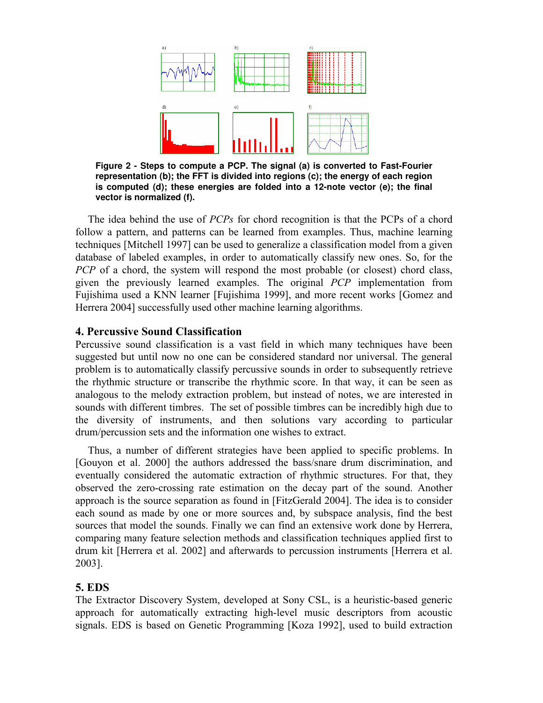

**Figure 2 - Steps to compute a PCP. The signal (a) is converted to Fast-Fourier representation (b); the FFT is divided into regions (c); the energy of each region is computed (d); these energies are folded into a 12-note vector (e); the final vector is normalized (f).** 

The idea behind the use of PCPs for chord recognition is that the PCPs of a chord follow a pattern, and patterns can be learned from examples. Thus, machine learning techniques [Mitchell 1997] can be used to generalize a classification model from a given database of labeled examples, in order to automatically classify new ones. So, for the PCP of a chord, the system will respond the most probable (or closest) chord class, given the previously learned examples. The original PCP implementation from Fujishima used a KNN learner [Fujishima 1999], and more recent works [Gomez and Herrera 2004] successfully used other machine learning algorithms.

## 4. Percussive Sound Classification

Percussive sound classification is a vast field in which many techniques have been suggested but until now no one can be considered standard nor universal. The general problem is to automatically classify percussive sounds in order to subsequently retrieve the rhythmic structure or transcribe the rhythmic score. In that way, it can be seen as analogous to the melody extraction problem, but instead of notes, we are interested in sounds with different timbres. The set of possible timbres can be incredibly high due to the diversity of instruments, and then solutions vary according to particular drum/percussion sets and the information one wishes to extract.

Thus, a number of different strategies have been applied to specific problems. In [Gouyon et al. 2000] the authors addressed the bass/snare drum discrimination, and eventually considered the automatic extraction of rhythmic structures. For that, they observed the zero-crossing rate estimation on the decay part of the sound. Another approach is the source separation as found in [FitzGerald 2004]. The idea is to consider each sound as made by one or more sources and, by subspace analysis, find the best sources that model the sounds. Finally we can find an extensive work done by Herrera, comparing many feature selection methods and classification techniques applied first to drum kit [Herrera et al. 2002] and afterwards to percussion instruments [Herrera et al. 2003].

### 5. EDS

The Extractor Discovery System, developed at Sony CSL, is a heuristic-based generic approach for automatically extracting high-level music descriptors from acoustic signals. EDS is based on Genetic Programming [Koza 1992], used to build extraction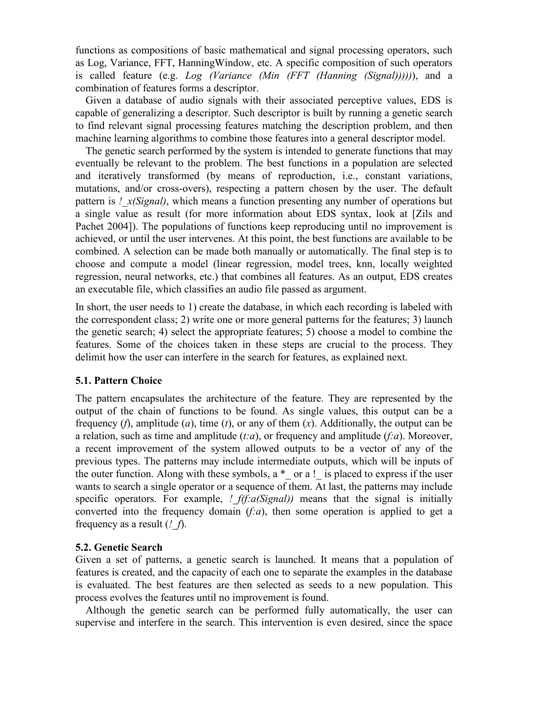functions as compositions of basic mathematical and signal processing operators, such as Log, Variance, FFT, HanningWindow, etc. A specific composition of such operators is called feature (e.g. Log (Variance (Min (FFT (Hanning (Signal)))))), and a combination of features forms a descriptor.

Given a database of audio signals with their associated perceptive values, EDS is capable of generalizing a descriptor. Such descriptor is built by running a genetic search to find relevant signal processing features matching the description problem, and then machine learning algorithms to combine those features into a general descriptor model.

The genetic search performed by the system is intended to generate functions that may eventually be relevant to the problem. The best functions in a population are selected and iteratively transformed (by means of reproduction, i.e., constant variations, mutations, and/or cross-overs), respecting a pattern chosen by the user. The default pattern is !  $x(Signal)$ , which means a function presenting any number of operations but a single value as result (for more information about EDS syntax, look at [Zils and Pachet 2004]). The populations of functions keep reproducing until no improvement is achieved, or until the user intervenes. At this point, the best functions are available to be combined. A selection can be made both manually or automatically. The final step is to choose and compute a model (linear regression, model trees, knn, locally weighted regression, neural networks, etc.) that combines all features. As an output, EDS creates an executable file, which classifies an audio file passed as argument.

In short, the user needs to 1) create the database, in which each recording is labeled with the correspondent class; 2) write one or more general patterns for the features; 3) launch the genetic search; 4) select the appropriate features; 5) choose a model to combine the features. Some of the choices taken in these steps are crucial to the process. They delimit how the user can interfere in the search for features, as explained next.

## 5.1. Pattern Choice

The pattern encapsulates the architecture of the feature. They are represented by the output of the chain of functions to be found. As single values, this output can be a frequency (f), amplitude (a), time (t), or any of them  $(x)$ . Additionally, the output can be a relation, such as time and amplitude  $(t:a)$ , or frequency and amplitude  $(t:a)$ . Moreover, a recent improvement of the system allowed outputs to be a vector of any of the previous types. The patterns may include intermediate outputs, which will be inputs of the outer function. Along with these symbols,  $a *$  or a ! is placed to express if the user wants to search a single operator or a sequence of them. At last, the patterns may include specific operators. For example,  $!$   $f(f:a(Signal))$  means that the signal is initially converted into the frequency domain  $(f:a)$ , then some operation is applied to get a frequency as a result  $(2, f)$ .

#### 5.2. Genetic Search

Given a set of patterns, a genetic search is launched. It means that a population of features is created, and the capacity of each one to separate the examples in the database is evaluated. The best features are then selected as seeds to a new population. This process evolves the features until no improvement is found.

Although the genetic search can be performed fully automatically, the user can supervise and interfere in the search. This intervention is even desired, since the space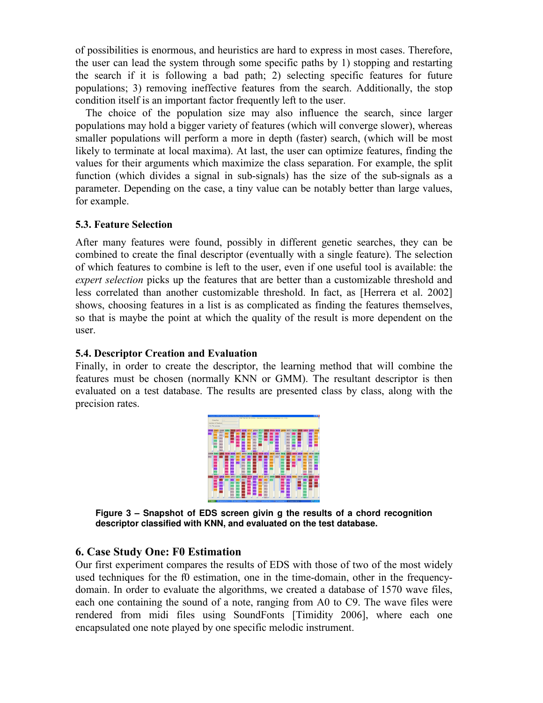of possibilities is enormous, and heuristics are hard to express in most cases. Therefore, the user can lead the system through some specific paths by 1) stopping and restarting the search if it is following a bad path; 2) selecting specific features for future populations; 3) removing ineffective features from the search. Additionally, the stop condition itself is an important factor frequently left to the user.

The choice of the population size may also influence the search, since larger populations may hold a bigger variety of features (which will converge slower), whereas smaller populations will perform a more in depth (faster) search, (which will be most likely to terminate at local maxima). At last, the user can optimize features, finding the values for their arguments which maximize the class separation. For example, the split function (which divides a signal in sub-signals) has the size of the sub-signals as a parameter. Depending on the case, a tiny value can be notably better than large values, for example.

## 5.3. Feature Selection

After many features were found, possibly in different genetic searches, they can be combined to create the final descriptor (eventually with a single feature). The selection of which features to combine is left to the user, even if one useful tool is available: the expert selection picks up the features that are better than a customizable threshold and less correlated than another customizable threshold. In fact, as [Herrera et al. 2002] shows, choosing features in a list is as complicated as finding the features themselves, so that is maybe the point at which the quality of the result is more dependent on the user.

### 5.4. Descriptor Creation and Evaluation

Finally, in order to create the descriptor, the learning method that will combine the features must be chosen (normally KNN or GMM). The resultant descriptor is then evaluated on a test database. The results are presented class by class, along with the precision rates.



**Figure 3 – Snapshot of EDS screen givin g the results of a chord recognition descriptor classified with KNN, and evaluated on the test database.** 

### 6. Case Study One: F0 Estimation

Our first experiment compares the results of EDS with those of two of the most widely used techniques for the f0 estimation, one in the time-domain, other in the frequencydomain. In order to evaluate the algorithms, we created a database of 1570 wave files, each one containing the sound of a note, ranging from A0 to C9. The wave files were rendered from midi files using SoundFonts [Timidity 2006], where each one encapsulated one note played by one specific melodic instrument.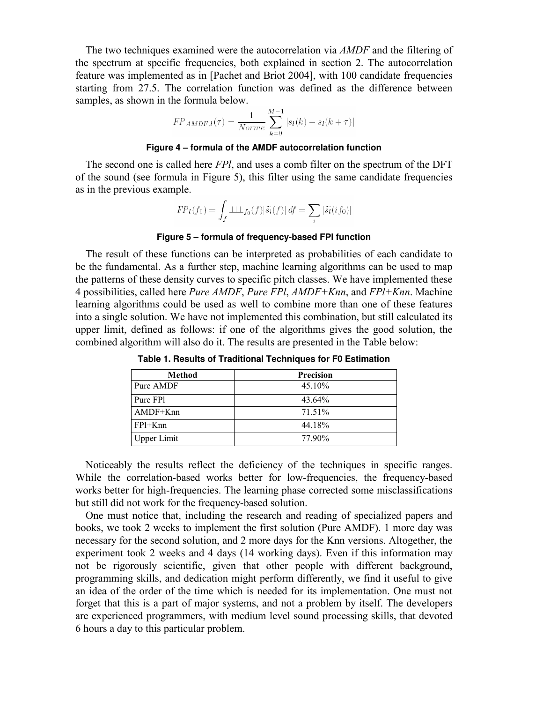The two techniques examined were the autocorrelation via AMDF and the filtering of the spectrum at specific frequencies, both explained in section 2. The autocorrelation feature was implemented as in [Pachet and Briot 2004], with 100 candidate frequencies starting from 27.5. The correlation function was defined as the difference between samples, as shown in the formula below.

$$
FP_{AMDF,l}(\tau) = \frac{1}{Norme} \sum_{k=0}^{M-1} |s_l(k) - s_l(k + \tau)|
$$

#### **Figure 4 – formula of the AMDF autocorrelation function**

The second one is called here FPl, and uses a comb filter on the spectrum of the DFT of the sound (see formula in Figure 5), this filter using the same candidate frequencies as in the previous example.

$$
FP_l(f_0) = \int_f \perp \perp \perp_{f_0}(f) |\tilde{s}_l(f)| df = \sum_i |\tilde{s}_l(i f_0)|
$$

#### **Figure 5 – formula of frequency-based FPl function**

The result of these functions can be interpreted as probabilities of each candidate to be the fundamental. As a further step, machine learning algorithms can be used to map the patterns of these density curves to specific pitch classes. We have implemented these 4 possibilities, called here Pure AMDF, Pure FPI, AMDF+Knn, and FPI+Knn. Machine learning algorithms could be used as well to combine more than one of these features into a single solution. We have not implemented this combination, but still calculated its upper limit, defined as follows: if one of the algorithms gives the good solution, the combined algorithm will also do it. The results are presented in the Table below:

| Method                           | <b>Precision</b> |  |  |  |
|----------------------------------|------------------|--|--|--|
| Pure AMDF                        | 45.10%           |  |  |  |
| Pure FP1                         | 43.64%           |  |  |  |
| AMDF+Knn                         | 71.51%           |  |  |  |
| FP <sub>1</sub> +K <sub>nn</sub> | 44.18%           |  |  |  |
| <b>Upper Limit</b>               | 77.90%           |  |  |  |

**Table 1. Results of Traditional Techniques for F0 Estimation** 

Noticeably the results reflect the deficiency of the techniques in specific ranges. While the correlation-based works better for low-frequencies, the frequency-based works better for high-frequencies. The learning phase corrected some misclassifications but still did not work for the frequency-based solution.

One must notice that, including the research and reading of specialized papers and books, we took 2 weeks to implement the first solution (Pure AMDF). 1 more day was necessary for the second solution, and 2 more days for the Knn versions. Altogether, the experiment took 2 weeks and 4 days (14 working days). Even if this information may not be rigorously scientific, given that other people with different background, programming skills, and dedication might perform differently, we find it useful to give an idea of the order of the time which is needed for its implementation. One must not forget that this is a part of major systems, and not a problem by itself. The developers are experienced programmers, with medium level sound processing skills, that devoted 6 hours a day to this particular problem.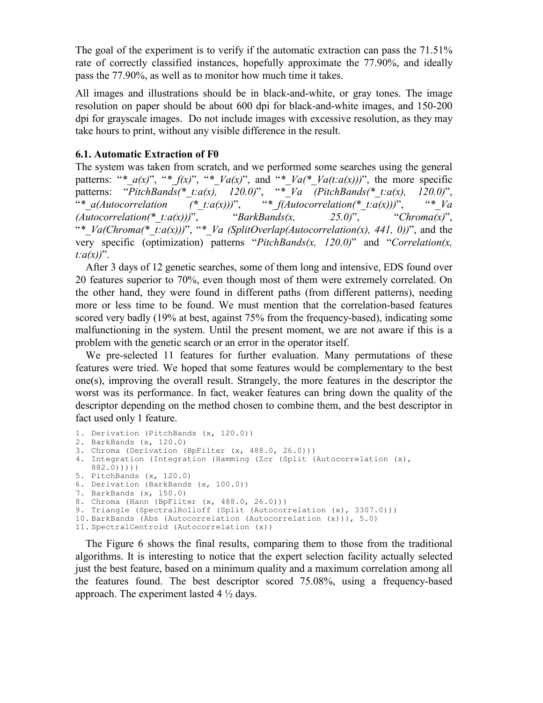The goal of the experiment is to verify if the automatic extraction can pass the 71.51% rate of correctly classified instances, hopefully approximate the 77.90%, and ideally pass the 77.90%, as well as to monitor how much time it takes.

All images and illustrations should be in black-and-white, or gray tones. The image resolution on paper should be about 600 dpi for black-and-white images, and 150-200 dpi for grayscale images. Do not include images with excessive resolution, as they may take hours to print, without any visible difference in the result.

# 6.1. Automatic Extraction of F0

The system was taken from scratch, and we performed some searches using the general patterns: "\*  $a(x)$ ", "\*  $f(x)$ ", "\*  $Va(x)$ ", and "\*  $Va(*\;Va(t:a(x)))$ ", the more specific patterns: "PitchBands(\*\_t:a(x), 120.0)", "\*\_Va (PitchBands(\*\_t:a(x), 120.0)", "\*\_a(Autocorrelation  $(x^*$ \_t:a(x)))", "\*\_f(Autocorrelation(\*\_t:a(x)))", "\*\_Va  $(Autocorrelation(* t:a(x)))$ ", "BarkBands(x, 25.0)", "Chroma(x)", "\*  $Va(Chroma(* t:a(x)))$ ", "\*  $Va$  (SplitOverlap(Autocorrelation(x), 441, 0))", and the very specific (optimization) patterns "PitchBands(x,  $120.0$ )" and "Correlation(x,  $t:a(x)$ ".

After 3 days of 12 genetic searches, some of them long and intensive, EDS found over 20 features superior to 70%, even though most of them were extremely correlated. On the other hand, they were found in different paths (from different patterns), needing more or less time to be found. We must mention that the correlation-based features scored very badly (19% at best, against 75% from the frequency-based), indicating some malfunctioning in the system. Until the present moment, we are not aware if this is a problem with the genetic search or an error in the operator itself.

We pre-selected 11 features for further evaluation. Many permutations of these features were tried. We hoped that some features would be complementary to the best one(s), improving the overall result. Strangely, the more features in the descriptor the worst was its performance. In fact, weaker features can bring down the quality of the descriptor depending on the method chosen to combine them, and the best descriptor in fact used only 1 feature.

```
1. Derivation (PitchBands (x, 120.0)) 
2. BarkBands (x, 120.0) 
3. Chroma (Derivation (BpFilter (x, 488.0, 26.0))) 
4. Integration (Integration (Hamming (Zcr (Split (Autocorrelation (x), 
  882.0))))) 
5. PitchBands (x, 120.0) 
6. Derivation (BarkBands (x, 100.0)) 
7. BarkBands (x, 150.0) 
8. Chroma (Hann (BpFilter (x, 488.0, 26.0))) 
9. Triangle (SpectralRolloff (Split (Autocorrelation (x), 3307.0))) 
10. BarkBands (Abs (Autocorrelation (Autocorrelation (x))), 5.0) 
11. SpectralCentroid (Autocorrelation (x))
```
The Figure 6 shows the final results, comparing them to those from the traditional algorithms. It is interesting to notice that the expert selection facility actually selected just the best feature, based on a minimum quality and a maximum correlation among all the features found. The best descriptor scored 75.08%, using a frequency-based approach. The experiment lasted  $4\frac{1}{2}$  days.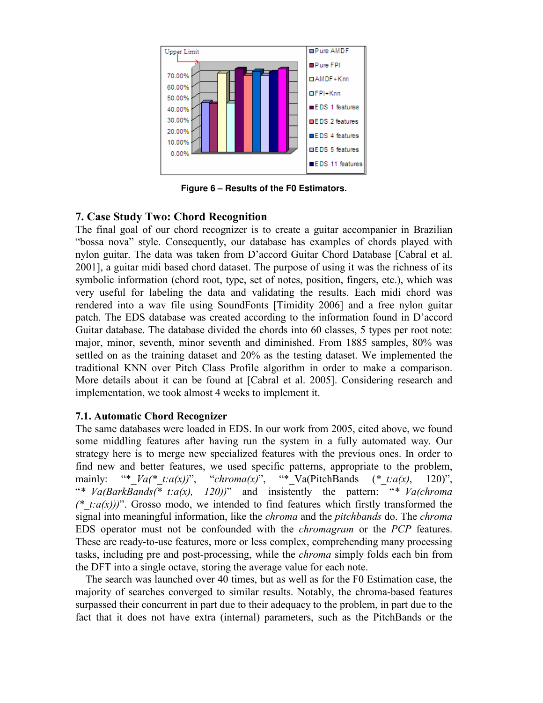

**Figure 6 – Results of the F0 Estimators.** 

# 7. Case Study Two: Chord Recognition

The final goal of our chord recognizer is to create a guitar accompanier in Brazilian "bossa nova" style. Consequently, our database has examples of chords played with nylon guitar. The data was taken from D'accord Guitar Chord Database [Cabral et al. 2001], a guitar midi based chord dataset. The purpose of using it was the richness of its symbolic information (chord root, type, set of notes, position, fingers, etc.), which was very useful for labeling the data and validating the results. Each midi chord was rendered into a wav file using SoundFonts [Timidity 2006] and a free nylon guitar patch. The EDS database was created according to the information found in D'accord Guitar database. The database divided the chords into 60 classes, 5 types per root note: major, minor, seventh, minor seventh and diminished. From 1885 samples, 80% was settled on as the training dataset and 20% as the testing dataset. We implemented the traditional KNN over Pitch Class Profile algorithm in order to make a comparison. More details about it can be found at [Cabral et al. 2005]. Considering research and implementation, we took almost 4 weeks to implement it.

# 7.1. Automatic Chord Recognizer

The same databases were loaded in EDS. In our work from 2005, cited above, we found some middling features after having run the system in a fully automated way. Our strategy here is to merge new specialized features with the previous ones. In order to find new and better features, we used specific patterns, appropriate to the problem, mainly: "\*  $Va(* t:a(x))$ ", "chroma(x)", "\* Va(PitchBands (\* t:a(x), 120)", "\*  $Va(BarkBands(*t:a(x), 120))$ " and insistently the pattern: "\*  $Va(chroma)$ (\* t: $a(x)$ ))". Grosso modo, we intended to find features which firstly transformed the signal into meaningful information, like the *chroma* and the *pitchbands* do. The *chroma* EDS operator must not be confounded with the chromagram or the PCP features. These are ready-to-use features, more or less complex, comprehending many processing tasks, including pre and post-processing, while the chroma simply folds each bin from the DFT into a single octave, storing the average value for each note.

The search was launched over 40 times, but as well as for the F0 Estimation case, the majority of searches converged to similar results. Notably, the chroma-based features surpassed their concurrent in part due to their adequacy to the problem, in part due to the fact that it does not have extra (internal) parameters, such as the PitchBands or the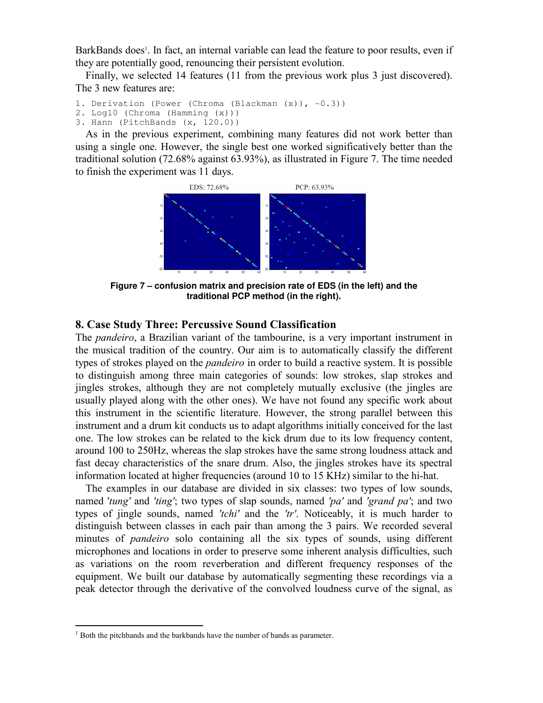BarkBands does<sup>1</sup>. In fact, an internal variable can lead the feature to poor results, even if they are potentially good, renouncing their persistent evolution.

Finally, we selected 14 features (11 from the previous work plus 3 just discovered). The 3 new features are:

```
1. Derivation (Power (Chroma (Blackman (x)), -0.3))
```
2. Log10 (Chroma (Hamming (x)))

3. Hann (PitchBands (x, 120.0))

As in the previous experiment, combining many features did not work better than using a single one. However, the single best one worked significatively better than the traditional solution (72.68% against 63.93%), as illustrated in Figure 7. The time needed to finish the experiment was 11 days.



**Figure 7 – confusion matrix and precision rate of EDS (in the left) and the traditional PCP method (in the right).** 

# 8. Case Study Three: Percussive Sound Classification

The pandeiro, a Brazilian variant of the tambourine, is a very important instrument in the musical tradition of the country. Our aim is to automatically classify the different types of strokes played on the pandeiro in order to build a reactive system. It is possible to distinguish among three main categories of sounds: low strokes, slap strokes and jingles strokes, although they are not completely mutually exclusive (the jingles are usually played along with the other ones). We have not found any specific work about this instrument in the scientific literature. However, the strong parallel between this instrument and a drum kit conducts us to adapt algorithms initially conceived for the last one. The low strokes can be related to the kick drum due to its low frequency content, around 100 to 250Hz, whereas the slap strokes have the same strong loudness attack and fast decay characteristics of the snare drum. Also, the jingles strokes have its spectral information located at higher frequencies (around 10 to 15 KHz) similar to the hi-hat.

The examples in our database are divided in six classes: two types of low sounds, named 'tung' and 'ting'; two types of slap sounds, named 'pa' and 'grand pa'; and two types of jingle sounds, named 'tchi' and the 'tr'. Noticeably, it is much harder to distinguish between classes in each pair than among the 3 pairs. We recorded several minutes of *pandeiro* solo containing all the six types of sounds, using different microphones and locations in order to preserve some inherent analysis difficulties, such as variations on the room reverberation and different frequency responses of the equipment. We built our database by automatically segmenting these recordings via a peak detector through the derivative of the convolved loudness curve of the signal, as

 $\overline{a}$ 

<sup>&</sup>lt;sup>1</sup> Both the pitchbands and the barkbands have the number of bands as parameter.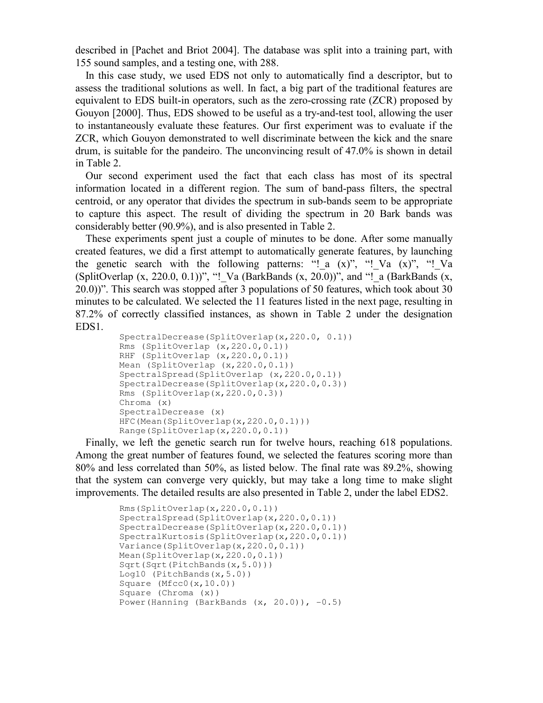described in [Pachet and Briot 2004]. The database was split into a training part, with 155 sound samples, and a testing one, with 288.

In this case study, we used EDS not only to automatically find a descriptor, but to assess the traditional solutions as well. In fact, a big part of the traditional features are equivalent to EDS built-in operators, such as the zero-crossing rate (ZCR) proposed by Gouyon [2000]. Thus, EDS showed to be useful as a try-and-test tool, allowing the user to instantaneously evaluate these features. Our first experiment was to evaluate if the ZCR, which Gouyon demonstrated to well discriminate between the kick and the snare drum, is suitable for the pandeiro. The unconvincing result of 47.0% is shown in detail in Table 2.

Our second experiment used the fact that each class has most of its spectral information located in a different region. The sum of band-pass filters, the spectral centroid, or any operator that divides the spectrum in sub-bands seem to be appropriate to capture this aspect. The result of dividing the spectrum in 20 Bark bands was considerably better (90.9%), and is also presented in Table 2.

These experiments spent just a couple of minutes to be done. After some manually created features, we did a first attempt to automatically generate features, by launching the genetic search with the following patterns: "! a  $(x)$ ", "! Va  $(x)$ ", "! Va (SplitOverlap  $(x, 220.0, 0.1)$ )", "! Va (BarkBands  $(x, 20.0)$ )", and "! a (BarkBands  $(x,$ 20.0))". This search was stopped after 3 populations of 50 features, which took about 30 minutes to be calculated. We selected the 11 features listed in the next page, resulting in 87.2% of correctly classified instances, as shown in Table 2 under the designation EDS1.

```
SpectralDecrease(SplitOverlap(x,220.0, 0.1)) 
Rms (SplitOverlap (x,220.0,0.1)) 
RHF (SplitOverlap (x, 220.0, 0.1))
Mean (SplitOverlap (x, 220.0, 0.1))
SpectralSpread(SplitOverlap (x, 220.0, 0.1))
SpectralDecrease(SplitOverlap(x, 220.0, 0.3))
Rms (SplitOverlap(x,220.0,0.3)) 
Chroma (x) 
SpectralDecrease (x) 
HFC(Mean(SplitOverlap(x, 220.0, 0.1)))
Range(SplitOverlap(x,220.0,0.1))
```
Finally, we left the genetic search run for twelve hours, reaching 618 populations. Among the great number of features found, we selected the features scoring more than 80% and less correlated than 50%, as listed below. The final rate was 89.2%, showing that the system can converge very quickly, but may take a long time to make slight improvements. The detailed results are also presented in Table 2, under the label EDS2.

```
Rms(SplitOverlap(x,220.0,0.1)) 
SpectralSpread(SplitOverlap(x,220.0,0.1)) 
SpectralDecrease(SplitOverlap(x,220.0,0.1)) 
SpectralKurtosis(SplitOverlap(x,220.0,0.1)) 
Variance(SplitOverlap(x, 220.0, 0.1))
Mean(SplitOverlap(x,220.0,0.1)) 
Sqrt(Sqrt(PitchBands(x,5.0)))
Log10 (PitchBands(x,5.0)) 
Square (Mfcc0(x,10.0))Square (Chroma (x)) 
Power(Hanning (BarkBands (x, 20.0)), -0.5)
```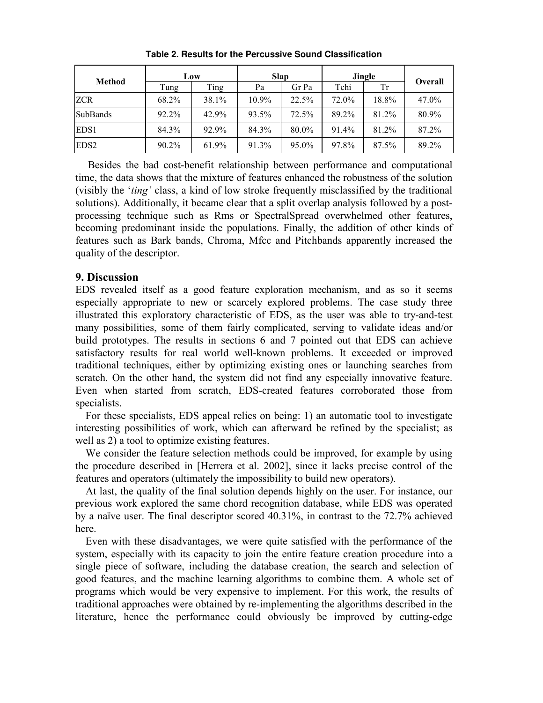| <b>Method</b>    | Low   |       | <b>Slap</b> |       | Jingle |       |         |
|------------------|-------|-------|-------------|-------|--------|-------|---------|
|                  | Tung  | Ting  | Pa          | Gr Pa | Tchi   | Tr    | Overall |
| <b>ZCR</b>       | 68.2% | 38.1% | 10.9%       | 22.5% | 72.0%  | 18.8% | 47.0%   |
| <b>SubBands</b>  | 92.2% | 42.9% | 93.5%       | 72.5% | 89.2%  | 81.2% | 80.9%   |
| EDS1             | 84.3% | 92.9% | 84.3%       | 80.0% | 91.4%  | 81.2% | 87.2%   |
| EDS <sub>2</sub> | 90.2% | 61.9% | 91.3%       | 95.0% | 97.8%  | 87.5% | 89.2%   |

**Table 2. Results for the Percussive Sound Classification** 

Besides the bad cost-benefit relationship between performance and computational time, the data shows that the mixture of features enhanced the robustness of the solution (visibly the 'ting' class, a kind of low stroke frequently misclassified by the traditional solutions). Additionally, it became clear that a split overlap analysis followed by a postprocessing technique such as Rms or SpectralSpread overwhelmed other features, becoming predominant inside the populations. Finally, the addition of other kinds of features such as Bark bands, Chroma, Mfcc and Pitchbands apparently increased the quality of the descriptor.

# 9. Discussion

EDS revealed itself as a good feature exploration mechanism, and as so it seems especially appropriate to new or scarcely explored problems. The case study three illustrated this exploratory characteristic of EDS, as the user was able to try-and-test many possibilities, some of them fairly complicated, serving to validate ideas and/or build prototypes. The results in sections 6 and 7 pointed out that EDS can achieve satisfactory results for real world well-known problems. It exceeded or improved traditional techniques, either by optimizing existing ones or launching searches from scratch. On the other hand, the system did not find any especially innovative feature. Even when started from scratch, EDS-created features corroborated those from specialists.

For these specialists, EDS appeal relies on being: 1) an automatic tool to investigate interesting possibilities of work, which can afterward be refined by the specialist; as well as 2) a tool to optimize existing features.

We consider the feature selection methods could be improved, for example by using the procedure described in [Herrera et al. 2002], since it lacks precise control of the features and operators (ultimately the impossibility to build new operators).

At last, the quality of the final solution depends highly on the user. For instance, our previous work explored the same chord recognition database, while EDS was operated by a naïve user. The final descriptor scored 40.31%, in contrast to the 72.7% achieved here.

Even with these disadvantages, we were quite satisfied with the performance of the system, especially with its capacity to join the entire feature creation procedure into a single piece of software, including the database creation, the search and selection of good features, and the machine learning algorithms to combine them. A whole set of programs which would be very expensive to implement. For this work, the results of traditional approaches were obtained by re-implementing the algorithms described in the literature, hence the performance could obviously be improved by cutting-edge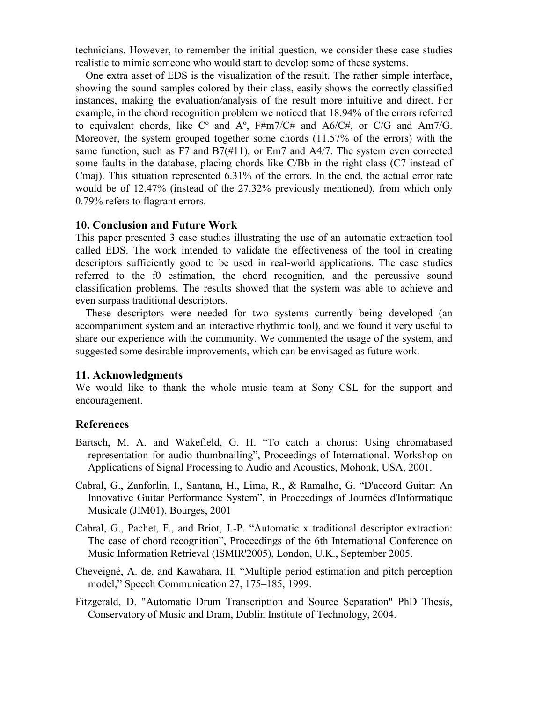technicians. However, to remember the initial question, we consider these case studies realistic to mimic someone who would start to develop some of these systems.

One extra asset of EDS is the visualization of the result. The rather simple interface, showing the sound samples colored by their class, easily shows the correctly classified instances, making the evaluation/analysis of the result more intuitive and direct. For example, in the chord recognition problem we noticed that 18.94% of the errors referred to equivalent chords, like  $C^{\circ}$  and  $A^{\circ}$ ,  $F\#m7/C\#$  and  $A6/C\#$ , or  $C/G$  and  $Am7/G$ . Moreover, the system grouped together some chords (11.57% of the errors) with the same function, such as F7 and B7 $(\#11)$ , or Em7 and A4/7. The system even corrected some faults in the database, placing chords like C/Bb in the right class (C7 instead of Cmaj). This situation represented 6.31% of the errors. In the end, the actual error rate would be of 12.47% (instead of the 27.32% previously mentioned), from which only 0.79% refers to flagrant errors.

## 10. Conclusion and Future Work

This paper presented 3 case studies illustrating the use of an automatic extraction tool called EDS. The work intended to validate the effectiveness of the tool in creating descriptors sufficiently good to be used in real-world applications. The case studies referred to the f0 estimation, the chord recognition, and the percussive sound classification problems. The results showed that the system was able to achieve and even surpass traditional descriptors.

These descriptors were needed for two systems currently being developed (an accompaniment system and an interactive rhythmic tool), and we found it very useful to share our experience with the community. We commented the usage of the system, and suggested some desirable improvements, which can be envisaged as future work.

#### 11. Acknowledgments

We would like to thank the whole music team at Sony CSL for the support and encouragement.

### References

- Bartsch, M. A. and Wakefield, G. H. "To catch a chorus: Using chromabased representation for audio thumbnailing", Proceedings of International. Workshop on Applications of Signal Processing to Audio and Acoustics, Mohonk, USA, 2001.
- Cabral, G., Zanforlin, I., Santana, H., Lima, R., & Ramalho, G. "D'accord Guitar: An Innovative Guitar Performance System", in Proceedings of Journées d'Informatique Musicale (JIM01), Bourges, 2001
- Cabral, G., Pachet, F., and Briot, J.-P. "Automatic x traditional descriptor extraction: The case of chord recognition", Proceedings of the 6th International Conference on Music Information Retrieval (ISMIR'2005), London, U.K., September 2005.
- Cheveigné, A. de, and Kawahara, H. "Multiple period estimation and pitch perception model," Speech Communication 27, 175–185, 1999.
- Fitzgerald, D. "Automatic Drum Transcription and Source Separation" PhD Thesis, Conservatory of Music and Dram, Dublin Institute of Technology, 2004.